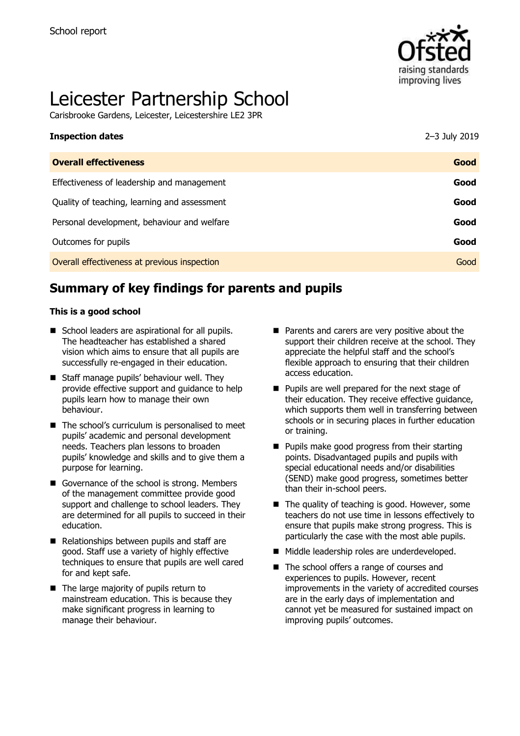

# Leicester Partnership School

Carisbrooke Gardens, Leicester, Leicestershire LE2 3PR

| <b>Inspection dates</b>                      | 2-3 July 2019 |
|----------------------------------------------|---------------|
| <b>Overall effectiveness</b>                 | Good          |
| Effectiveness of leadership and management   | Good          |
| Quality of teaching, learning and assessment | Good          |
| Personal development, behaviour and welfare  | Good          |
| Outcomes for pupils                          | Good          |
| Overall effectiveness at previous inspection | Good          |

# **Summary of key findings for parents and pupils**

#### **This is a good school**

- School leaders are aspirational for all pupils. The headteacher has established a shared vision which aims to ensure that all pupils are successfully re-engaged in their education.
- Staff manage pupils' behaviour well. They provide effective support and guidance to help pupils learn how to manage their own behaviour.
- The school's curriculum is personalised to meet pupils' academic and personal development needs. Teachers plan lessons to broaden pupils' knowledge and skills and to give them a purpose for learning.
- Governance of the school is strong. Members of the management committee provide good support and challenge to school leaders. They are determined for all pupils to succeed in their education.
- Relationships between pupils and staff are good. Staff use a variety of highly effective techniques to ensure that pupils are well cared for and kept safe.
- The large majority of pupils return to mainstream education. This is because they make significant progress in learning to manage their behaviour.
- Parents and carers are very positive about the support their children receive at the school. They appreciate the helpful staff and the school's flexible approach to ensuring that their children access education.
- Pupils are well prepared for the next stage of their education. They receive effective guidance, which supports them well in transferring between schools or in securing places in further education or training.
- Pupils make good progress from their starting points. Disadvantaged pupils and pupils with special educational needs and/or disabilities (SEND) make good progress, sometimes better than their in-school peers.
- The quality of teaching is good. However, some teachers do not use time in lessons effectively to ensure that pupils make strong progress. This is particularly the case with the most able pupils.
- Middle leadership roles are underdeveloped.
- The school offers a range of courses and experiences to pupils. However, recent improvements in the variety of accredited courses are in the early days of implementation and cannot yet be measured for sustained impact on improving pupils' outcomes.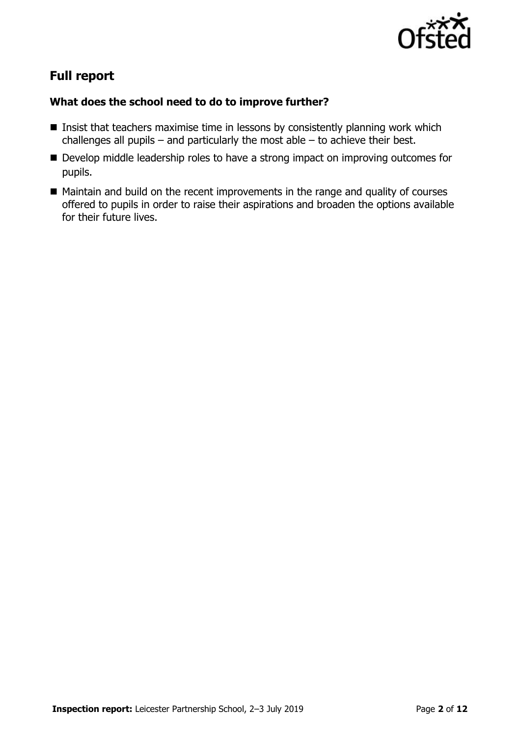

# **Full report**

### **What does the school need to do to improve further?**

- $\blacksquare$  Insist that teachers maximise time in lessons by consistently planning work which challenges all pupils – and particularly the most able – to achieve their best.
- Develop middle leadership roles to have a strong impact on improving outcomes for pupils.
- Maintain and build on the recent improvements in the range and quality of courses offered to pupils in order to raise their aspirations and broaden the options available for their future lives.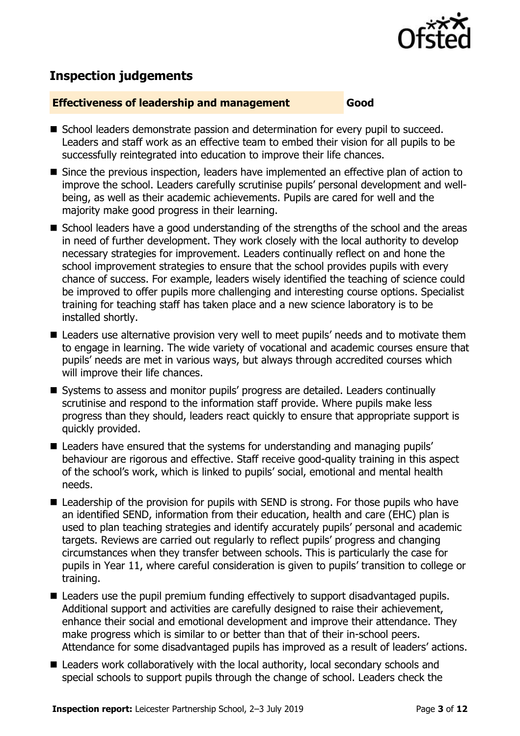

# **Inspection judgements**

#### **Effectiveness of leadership and management Good**

- School leaders demonstrate passion and determination for every pupil to succeed. Leaders and staff work as an effective team to embed their vision for all pupils to be successfully reintegrated into education to improve their life chances.
- Since the previous inspection, leaders have implemented an effective plan of action to improve the school. Leaders carefully scrutinise pupils' personal development and wellbeing, as well as their academic achievements. Pupils are cared for well and the majority make good progress in their learning.
- School leaders have a good understanding of the strengths of the school and the areas in need of further development. They work closely with the local authority to develop necessary strategies for improvement. Leaders continually reflect on and hone the school improvement strategies to ensure that the school provides pupils with every chance of success. For example, leaders wisely identified the teaching of science could be improved to offer pupils more challenging and interesting course options. Specialist training for teaching staff has taken place and a new science laboratory is to be installed shortly.
- Leaders use alternative provision very well to meet pupils' needs and to motivate them to engage in learning. The wide variety of vocational and academic courses ensure that pupils' needs are met in various ways, but always through accredited courses which will improve their life chances.
- Systems to assess and monitor pupils' progress are detailed. Leaders continually scrutinise and respond to the information staff provide. Where pupils make less progress than they should, leaders react quickly to ensure that appropriate support is quickly provided.
- Leaders have ensured that the systems for understanding and managing pupils' behaviour are rigorous and effective. Staff receive good-quality training in this aspect of the school's work, which is linked to pupils' social, emotional and mental health needs.
- Leadership of the provision for pupils with SEND is strong. For those pupils who have an identified SEND, information from their education, health and care (EHC) plan is used to plan teaching strategies and identify accurately pupils' personal and academic targets. Reviews are carried out regularly to reflect pupils' progress and changing circumstances when they transfer between schools. This is particularly the case for pupils in Year 11, where careful consideration is given to pupils' transition to college or training.
- Leaders use the pupil premium funding effectively to support disadvantaged pupils. Additional support and activities are carefully designed to raise their achievement, enhance their social and emotional development and improve their attendance. They make progress which is similar to or better than that of their in-school peers. Attendance for some disadvantaged pupils has improved as a result of leaders' actions.
- Leaders work collaboratively with the local authority, local secondary schools and special schools to support pupils through the change of school. Leaders check the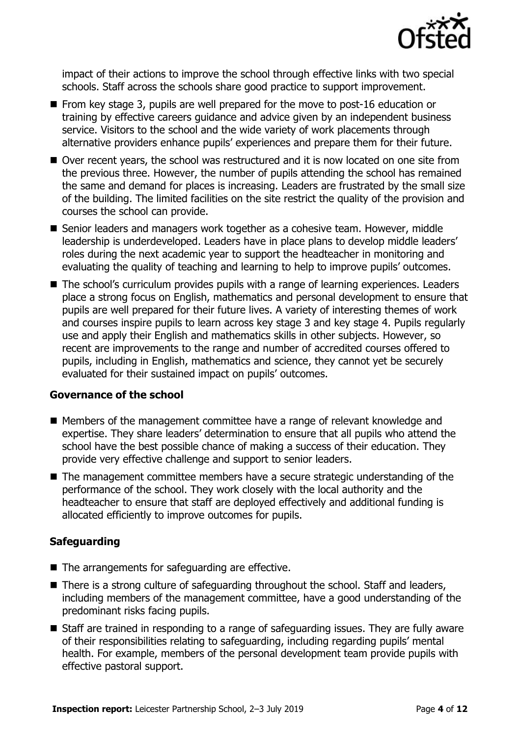

impact of their actions to improve the school through effective links with two special schools. Staff across the schools share good practice to support improvement.

- From key stage 3, pupils are well prepared for the move to post-16 education or training by effective careers guidance and advice given by an independent business service. Visitors to the school and the wide variety of work placements through alternative providers enhance pupils' experiences and prepare them for their future.
- Over recent years, the school was restructured and it is now located on one site from the previous three. However, the number of pupils attending the school has remained the same and demand for places is increasing. Leaders are frustrated by the small size of the building. The limited facilities on the site restrict the quality of the provision and courses the school can provide.
- Senior leaders and managers work together as a cohesive team. However, middle leadership is underdeveloped. Leaders have in place plans to develop middle leaders' roles during the next academic year to support the headteacher in monitoring and evaluating the quality of teaching and learning to help to improve pupils' outcomes.
- The school's curriculum provides pupils with a range of learning experiences. Leaders place a strong focus on English, mathematics and personal development to ensure that pupils are well prepared for their future lives. A variety of interesting themes of work and courses inspire pupils to learn across key stage 3 and key stage 4. Pupils regularly use and apply their English and mathematics skills in other subjects. However, so recent are improvements to the range and number of accredited courses offered to pupils, including in English, mathematics and science, they cannot yet be securely evaluated for their sustained impact on pupils' outcomes.

#### **Governance of the school**

- Members of the management committee have a range of relevant knowledge and expertise. They share leaders' determination to ensure that all pupils who attend the school have the best possible chance of making a success of their education. They provide very effective challenge and support to senior leaders.
- The management committee members have a secure strategic understanding of the performance of the school. They work closely with the local authority and the headteacher to ensure that staff are deployed effectively and additional funding is allocated efficiently to improve outcomes for pupils.

#### **Safeguarding**

- The arrangements for safeguarding are effective.
- There is a strong culture of safeguarding throughout the school. Staff and leaders, including members of the management committee, have a good understanding of the predominant risks facing pupils.
- Staff are trained in responding to a range of safeguarding issues. They are fully aware of their responsibilities relating to safeguarding, including regarding pupils' mental health. For example, members of the personal development team provide pupils with effective pastoral support.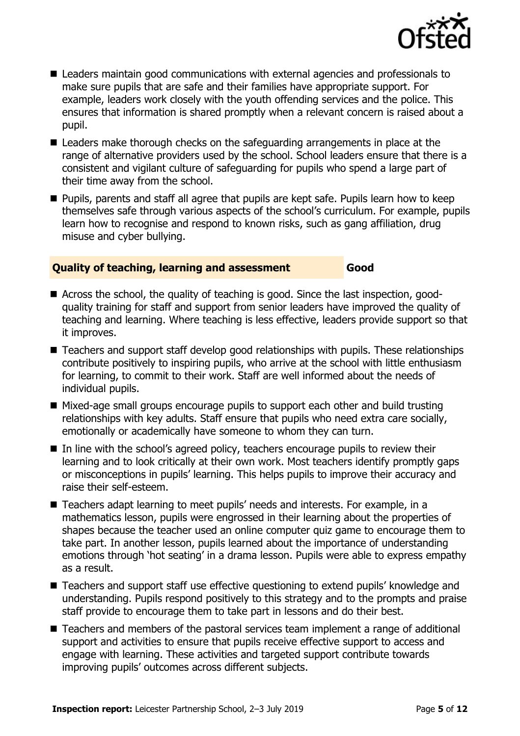

- Leaders maintain good communications with external agencies and professionals to make sure pupils that are safe and their families have appropriate support. For example, leaders work closely with the youth offending services and the police. This ensures that information is shared promptly when a relevant concern is raised about a pupil.
- Leaders make thorough checks on the safeguarding arrangements in place at the range of alternative providers used by the school. School leaders ensure that there is a consistent and vigilant culture of safeguarding for pupils who spend a large part of their time away from the school.
- Pupils, parents and staff all agree that pupils are kept safe. Pupils learn how to keep themselves safe through various aspects of the school's curriculum. For example, pupils learn how to recognise and respond to known risks, such as gang affiliation, drug misuse and cyber bullying.

#### **Quality of teaching, learning and assessment Good**

- Across the school, the quality of teaching is good. Since the last inspection, goodquality training for staff and support from senior leaders have improved the quality of teaching and learning. Where teaching is less effective, leaders provide support so that it improves.
- Teachers and support staff develop good relationships with pupils. These relationships contribute positively to inspiring pupils, who arrive at the school with little enthusiasm for learning, to commit to their work. Staff are well informed about the needs of individual pupils.
- Mixed-age small groups encourage pupils to support each other and build trusting relationships with key adults. Staff ensure that pupils who need extra care socially, emotionally or academically have someone to whom they can turn.
- In line with the school's agreed policy, teachers encourage pupils to review their learning and to look critically at their own work. Most teachers identify promptly gaps or misconceptions in pupils' learning. This helps pupils to improve their accuracy and raise their self-esteem.
- Teachers adapt learning to meet pupils' needs and interests. For example, in a mathematics lesson, pupils were engrossed in their learning about the properties of shapes because the teacher used an online computer quiz game to encourage them to take part. In another lesson, pupils learned about the importance of understanding emotions through 'hot seating' in a drama lesson. Pupils were able to express empathy as a result.
- Teachers and support staff use effective questioning to extend pupils' knowledge and understanding. Pupils respond positively to this strategy and to the prompts and praise staff provide to encourage them to take part in lessons and do their best.
- Teachers and members of the pastoral services team implement a range of additional support and activities to ensure that pupils receive effective support to access and engage with learning. These activities and targeted support contribute towards improving pupils' outcomes across different subjects.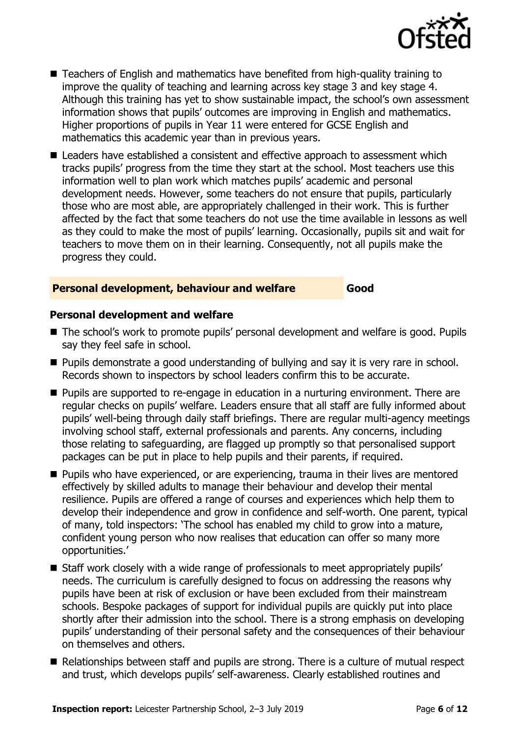

- Teachers of English and mathematics have benefited from high-quality training to improve the quality of teaching and learning across key stage 3 and key stage 4. Although this training has yet to show sustainable impact, the school's own assessment information shows that pupils' outcomes are improving in English and mathematics. Higher proportions of pupils in Year 11 were entered for GCSE English and mathematics this academic year than in previous years.
- Leaders have established a consistent and effective approach to assessment which tracks pupils' progress from the time they start at the school. Most teachers use this information well to plan work which matches pupils' academic and personal development needs. However, some teachers do not ensure that pupils, particularly those who are most able, are appropriately challenged in their work. This is further affected by the fact that some teachers do not use the time available in lessons as well as they could to make the most of pupils' learning. Occasionally, pupils sit and wait for teachers to move them on in their learning. Consequently, not all pupils make the progress they could.

#### **Personal development, behaviour and welfare Good**

#### **Personal development and welfare**

- The school's work to promote pupils' personal development and welfare is good. Pupils say they feel safe in school.
- Pupils demonstrate a good understanding of bullying and say it is very rare in school. Records shown to inspectors by school leaders confirm this to be accurate.
- Pupils are supported to re-engage in education in a nurturing environment. There are regular checks on pupils' welfare. Leaders ensure that all staff are fully informed about pupils' well-being through daily staff briefings. There are regular multi-agency meetings involving school staff, external professionals and parents. Any concerns, including those relating to safeguarding, are flagged up promptly so that personalised support packages can be put in place to help pupils and their parents, if required.
- Pupils who have experienced, or are experiencing, trauma in their lives are mentored effectively by skilled adults to manage their behaviour and develop their mental resilience. Pupils are offered a range of courses and experiences which help them to develop their independence and grow in confidence and self-worth. One parent, typical of many, told inspectors: 'The school has enabled my child to grow into a mature, confident young person who now realises that education can offer so many more opportunities.'
- Staff work closely with a wide range of professionals to meet appropriately pupils' needs. The curriculum is carefully designed to focus on addressing the reasons why pupils have been at risk of exclusion or have been excluded from their mainstream schools. Bespoke packages of support for individual pupils are quickly put into place shortly after their admission into the school. There is a strong emphasis on developing pupils' understanding of their personal safety and the consequences of their behaviour on themselves and others.
- Relationships between staff and pupils are strong. There is a culture of mutual respect and trust, which develops pupils' self-awareness. Clearly established routines and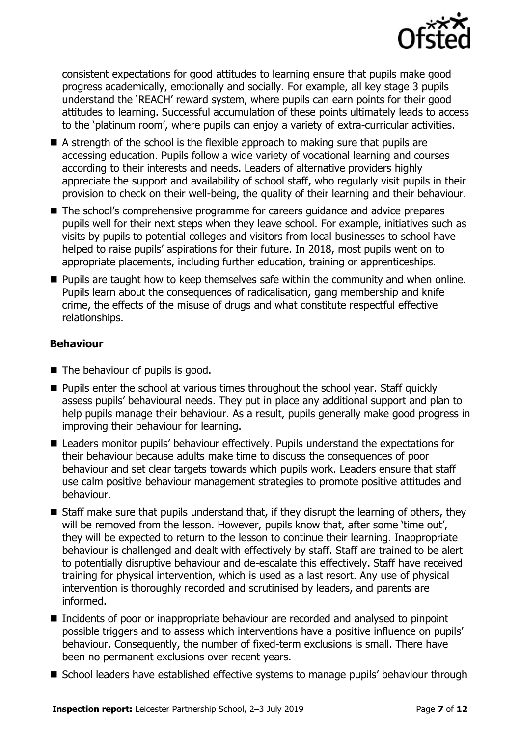

consistent expectations for good attitudes to learning ensure that pupils make good progress academically, emotionally and socially. For example, all key stage 3 pupils understand the 'REACH' reward system, where pupils can earn points for their good attitudes to learning. Successful accumulation of these points ultimately leads to access to the 'platinum room', where pupils can enjoy a variety of extra-curricular activities.

- $\blacksquare$  A strength of the school is the flexible approach to making sure that pupils are accessing education. Pupils follow a wide variety of vocational learning and courses according to their interests and needs. Leaders of alternative providers highly appreciate the support and availability of school staff, who regularly visit pupils in their provision to check on their well-being, the quality of their learning and their behaviour.
- The school's comprehensive programme for careers guidance and advice prepares pupils well for their next steps when they leave school. For example, initiatives such as visits by pupils to potential colleges and visitors from local businesses to school have helped to raise pupils' aspirations for their future. In 2018, most pupils went on to appropriate placements, including further education, training or apprenticeships.
- Pupils are taught how to keep themselves safe within the community and when online. Pupils learn about the consequences of radicalisation, gang membership and knife crime, the effects of the misuse of drugs and what constitute respectful effective relationships.

#### **Behaviour**

- The behaviour of pupils is good.
- Pupils enter the school at various times throughout the school year. Staff quickly assess pupils' behavioural needs. They put in place any additional support and plan to help pupils manage their behaviour. As a result, pupils generally make good progress in improving their behaviour for learning.
- Leaders monitor pupils' behaviour effectively. Pupils understand the expectations for their behaviour because adults make time to discuss the consequences of poor behaviour and set clear targets towards which pupils work. Leaders ensure that staff use calm positive behaviour management strategies to promote positive attitudes and behaviour.
- Staff make sure that pupils understand that, if they disrupt the learning of others, they will be removed from the lesson. However, pupils know that, after some 'time out', they will be expected to return to the lesson to continue their learning. Inappropriate behaviour is challenged and dealt with effectively by staff. Staff are trained to be alert to potentially disruptive behaviour and de-escalate this effectively. Staff have received training for physical intervention, which is used as a last resort. Any use of physical intervention is thoroughly recorded and scrutinised by leaders, and parents are informed.
- Incidents of poor or inappropriate behaviour are recorded and analysed to pinpoint possible triggers and to assess which interventions have a positive influence on pupils' behaviour. Consequently, the number of fixed-term exclusions is small. There have been no permanent exclusions over recent years.
- School leaders have established effective systems to manage pupils' behaviour through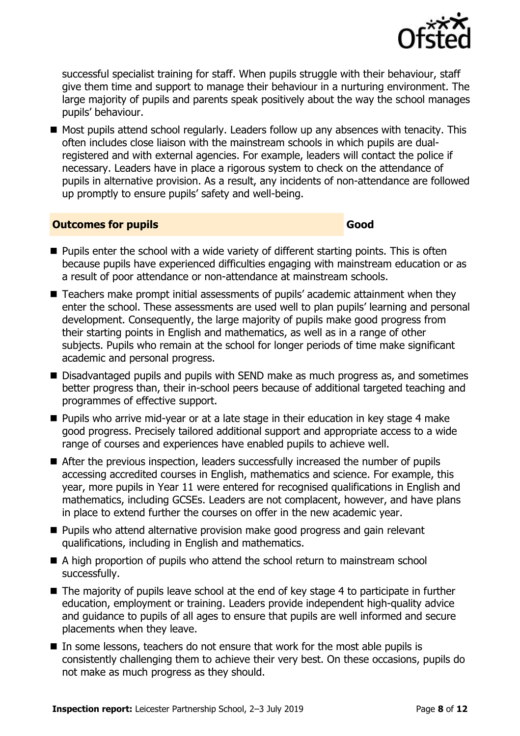

successful specialist training for staff. When pupils struggle with their behaviour, staff give them time and support to manage their behaviour in a nurturing environment. The large majority of pupils and parents speak positively about the way the school manages pupils' behaviour.

■ Most pupils attend school regularly. Leaders follow up any absences with tenacity. This often includes close liaison with the mainstream schools in which pupils are dualregistered and with external agencies. For example, leaders will contact the police if necessary. Leaders have in place a rigorous system to check on the attendance of pupils in alternative provision. As a result, any incidents of non-attendance are followed up promptly to ensure pupils' safety and well-being.

#### **Outcomes for pupils Good**

- Pupils enter the school with a wide variety of different starting points. This is often because pupils have experienced difficulties engaging with mainstream education or as a result of poor attendance or non-attendance at mainstream schools.
- Teachers make prompt initial assessments of pupils' academic attainment when they enter the school. These assessments are used well to plan pupils' learning and personal development. Consequently, the large majority of pupils make good progress from their starting points in English and mathematics, as well as in a range of other subjects. Pupils who remain at the school for longer periods of time make significant academic and personal progress.
- Disadvantaged pupils and pupils with SEND make as much progress as, and sometimes better progress than, their in-school peers because of additional targeted teaching and programmes of effective support.
- Pupils who arrive mid-year or at a late stage in their education in key stage 4 make good progress. Precisely tailored additional support and appropriate access to a wide range of courses and experiences have enabled pupils to achieve well.
- After the previous inspection, leaders successfully increased the number of pupils accessing accredited courses in English, mathematics and science. For example, this year, more pupils in Year 11 were entered for recognised qualifications in English and mathematics, including GCSEs. Leaders are not complacent, however, and have plans in place to extend further the courses on offer in the new academic year.
- Pupils who attend alternative provision make good progress and gain relevant qualifications, including in English and mathematics.
- A high proportion of pupils who attend the school return to mainstream school successfully.
- The majority of pupils leave school at the end of key stage 4 to participate in further education, employment or training. Leaders provide independent high-quality advice and guidance to pupils of all ages to ensure that pupils are well informed and secure placements when they leave.
- In some lessons, teachers do not ensure that work for the most able pupils is consistently challenging them to achieve their very best. On these occasions, pupils do not make as much progress as they should.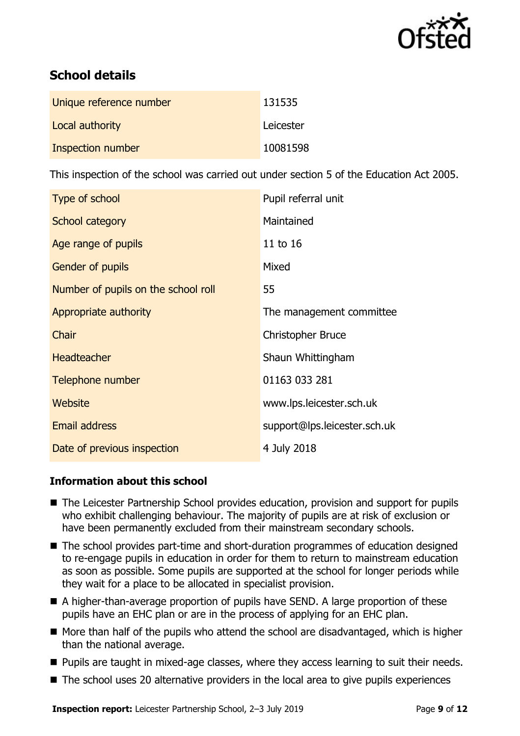

# **School details**

| Unique reference number | 131535    |
|-------------------------|-----------|
| Local authority         | Leicester |
| Inspection number       | 10081598  |

This inspection of the school was carried out under section 5 of the Education Act 2005.

| Type of school                      | Pupil referral unit          |
|-------------------------------------|------------------------------|
| School category                     | Maintained                   |
| Age range of pupils                 | 11 to 16                     |
| <b>Gender of pupils</b>             | Mixed                        |
| Number of pupils on the school roll | 55                           |
| Appropriate authority               | The management committee     |
| Chair                               | <b>Christopher Bruce</b>     |
| <b>Headteacher</b>                  | Shaun Whittingham            |
| Telephone number                    | 01163 033 281                |
| Website                             | www.lps.leicester.sch.uk     |
| <b>Email address</b>                | support@lps.leicester.sch.uk |
| Date of previous inspection         | 4 July 2018                  |

#### **Information about this school**

- The Leicester Partnership School provides education, provision and support for pupils who exhibit challenging behaviour. The majority of pupils are at risk of exclusion or have been permanently excluded from their mainstream secondary schools.
- The school provides part-time and short-duration programmes of education designed to re-engage pupils in education in order for them to return to mainstream education as soon as possible. Some pupils are supported at the school for longer periods while they wait for a place to be allocated in specialist provision.
- A higher-than-average proportion of pupils have SEND. A large proportion of these pupils have an EHC plan or are in the process of applying for an EHC plan.
- More than half of the pupils who attend the school are disadvantaged, which is higher than the national average.
- Pupils are taught in mixed-age classes, where they access learning to suit their needs.
- The school uses 20 alternative providers in the local area to give pupils experiences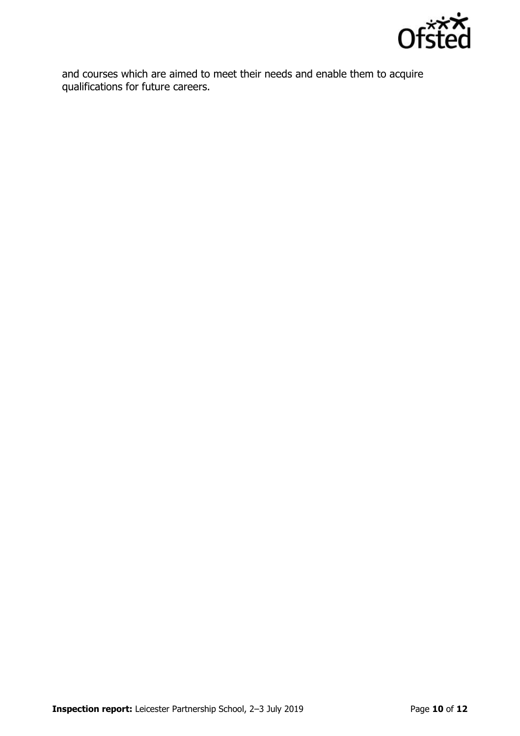

and courses which are aimed to meet their needs and enable them to acquire qualifications for future careers.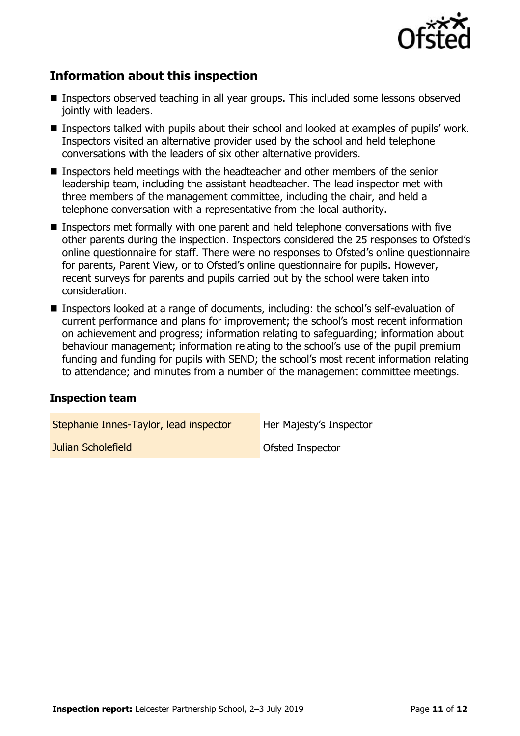

# **Information about this inspection**

- Inspectors observed teaching in all year groups. This included some lessons observed jointly with leaders.
- Inspectors talked with pupils about their school and looked at examples of pupils' work. Inspectors visited an alternative provider used by the school and held telephone conversations with the leaders of six other alternative providers.
- Inspectors held meetings with the headteacher and other members of the senior leadership team, including the assistant headteacher. The lead inspector met with three members of the management committee, including the chair, and held a telephone conversation with a representative from the local authority.
- Inspectors met formally with one parent and held telephone conversations with five other parents during the inspection. Inspectors considered the 25 responses to Ofsted's online questionnaire for staff. There were no responses to Ofsted's online questionnaire for parents, Parent View, or to Ofsted's online questionnaire for pupils. However, recent surveys for parents and pupils carried out by the school were taken into consideration.
- Inspectors looked at a range of documents, including: the school's self-evaluation of current performance and plans for improvement; the school's most recent information on achievement and progress; information relating to safeguarding; information about behaviour management; information relating to the school's use of the pupil premium funding and funding for pupils with SEND; the school's most recent information relating to attendance; and minutes from a number of the management committee meetings.

#### **Inspection team**

| Stephanie Innes-Taylor, lead inspector | Her Majesty's Inspector |
|----------------------------------------|-------------------------|
| Julian Scholefield                     | <b>Ofsted Inspector</b> |